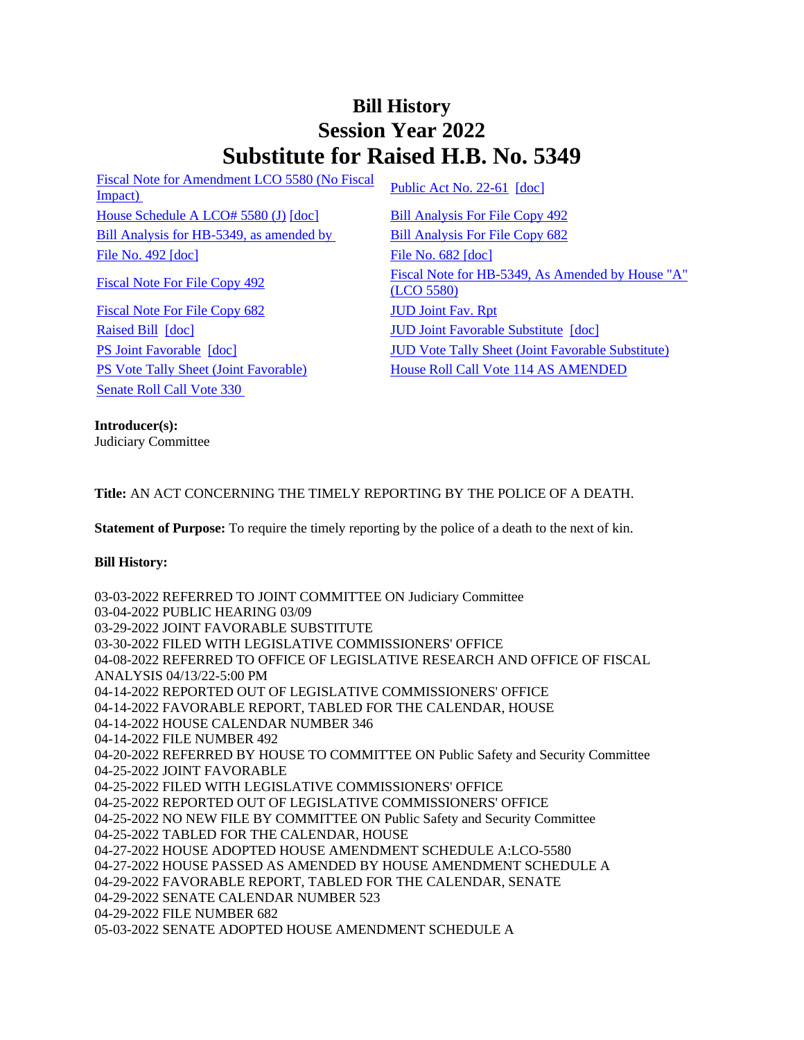## **Bill History Session Year 2022 Substitute for Raised H.B. No. 5349**

[Fiscal Note for Amendment LCO 5580 \(No Fiscal](/2022/fna/pdf/2022HB-05349-R00LCO05580-FNA.pdf)  <u>Fiscal Note for Americane ECO</u> 3380 (NO Fiscal<br>[Impact\)](/2022/fna/pdf/2022HB-05349-R00LCO05580-FNA.pdf) [Public Act No. 22-61](/2022/ACT/PA/PDF/2022PA-00061-R00HB-05349-PA.PDF) [\[doc\]](https://search.cga.state.ct.us/dl2022/PA/DOC/2022PA-00061-R00HB-05349-PA.DOCX) [House Schedule A LCO# 5580 \(J\)](/2022/amd/H/pdf/2022HB-05349-R00HA-AMD.pdf) [\[doc\]](https://search.cga.state.ct.us/dl2022/AMd/DOC/2022HB-05349-R00HA-AMD.Docx) [Bill Analysis For File Copy 492](/2022/BA/PDF/2022HB-05349-R000492-BA.PDF) [Bill Analysis for HB-5349, as amended by](/2022/BA/PDF/2022HB-05349-R01-BA.PDF) [Bill Analysis For File Copy 682](/2022/BA/PDF/2022HB-05349-R010682-BA.PDF) [File No. 492](/2022/FC/PDF/2022HB-05349-R000492-FC.PDF) [\[doc\]](https://search.cga.state.ct.us/dl2022/fc/doc/2022HB-05349-R000682-FC.docx) [File No. 682](/2022/FC/PDF/2022HB-05349-R000682-FC.PDF) [doc]

[Fiscal Note For File Copy 682](/2022/FN/PDF/2022HB-05349-R010682-FN.PDF) [JUD Joint Fav. Rpt](/2022/JFR/H/PDF/2022HB-05349-R00JUD-JFR.PDF) [Raised Bill](/2022/TOB/H/PDF/2022HB-05349-R00-HB.PDF) [\[doc\]](https://search.cga.state.ct.us/dl2022/TOB/DOC/2022HB-05349-R01-HB.DOCX) **JUD Joint Favorable Substitute** [doc] [Senate Roll Call Vote 330](/2022/VOTE/S/PDF/2022SV-00330-R00HB05349-SV.PDF) 

[Fiscal Note For File Copy 492](/2022/FN/PDF/2022HB-05349-R000492-FN.PDF) Fiscal Note for HB-5349, As Amended by House "A" [\(LCO 5580\)](/2022/FN/PDF/2022HB-05349-R01-FN.PDF) [PS Joint Favorable](/2022/TOB/H/PDF/2022HB-05349-R02-HB.PDF) [\[doc\]](https://search.cga.state.ct.us/dl2022/TOB/DOC/2022HB-05349-R02-HB.DOCX) [JUD Vote Tally Sheet \(Joint Favorable Substitute\)](/2022/TS/H/PDF/2022HB-05349-R00JUD-CV76-TS.PDF) [PS Vote Tally Sheet \(Joint Favorable\)](/2022/TS/H/PDF/2022HB-05349-R00PS-CV75-TS.PDF) House Roll Call Vote 114 AS AMENDED

**Introducer(s):**

Judiciary Committee

**Title:** AN ACT CONCERNING THE TIMELY REPORTING BY THE POLICE OF A DEATH.

**Statement of Purpose:** To require the timely reporting by the police of a death to the next of kin.

## **Bill History:**

03-03-2022 REFERRED TO JOINT COMMITTEE ON Judiciary Committee 03-04-2022 PUBLIC HEARING 03/09 03-29-2022 JOINT FAVORABLE SUBSTITUTE 03-30-2022 FILED WITH LEGISLATIVE COMMISSIONERS' OFFICE 04-08-2022 REFERRED TO OFFICE OF LEGISLATIVE RESEARCH AND OFFICE OF FISCAL ANALYSIS 04/13/22-5:00 PM 04-14-2022 REPORTED OUT OF LEGISLATIVE COMMISSIONERS' OFFICE 04-14-2022 FAVORABLE REPORT, TABLED FOR THE CALENDAR, HOUSE 04-14-2022 HOUSE CALENDAR NUMBER 346 04-14-2022 FILE NUMBER 492 04-20-2022 REFERRED BY HOUSE TO COMMITTEE ON Public Safety and Security Committee 04-25-2022 JOINT FAVORABLE 04-25-2022 FILED WITH LEGISLATIVE COMMISSIONERS' OFFICE 04-25-2022 REPORTED OUT OF LEGISLATIVE COMMISSIONERS' OFFICE 04-25-2022 NO NEW FILE BY COMMITTEE ON Public Safety and Security Committee 04-25-2022 TABLED FOR THE CALENDAR, HOUSE 04-27-2022 HOUSE ADOPTED HOUSE AMENDMENT SCHEDULE A:LCO-5580 04-27-2022 HOUSE PASSED AS AMENDED BY HOUSE AMENDMENT SCHEDULE A 04-29-2022 FAVORABLE REPORT, TABLED FOR THE CALENDAR, SENATE 04-29-2022 SENATE CALENDAR NUMBER 523 04-29-2022 FILE NUMBER 682 05-03-2022 SENATE ADOPTED HOUSE AMENDMENT SCHEDULE A